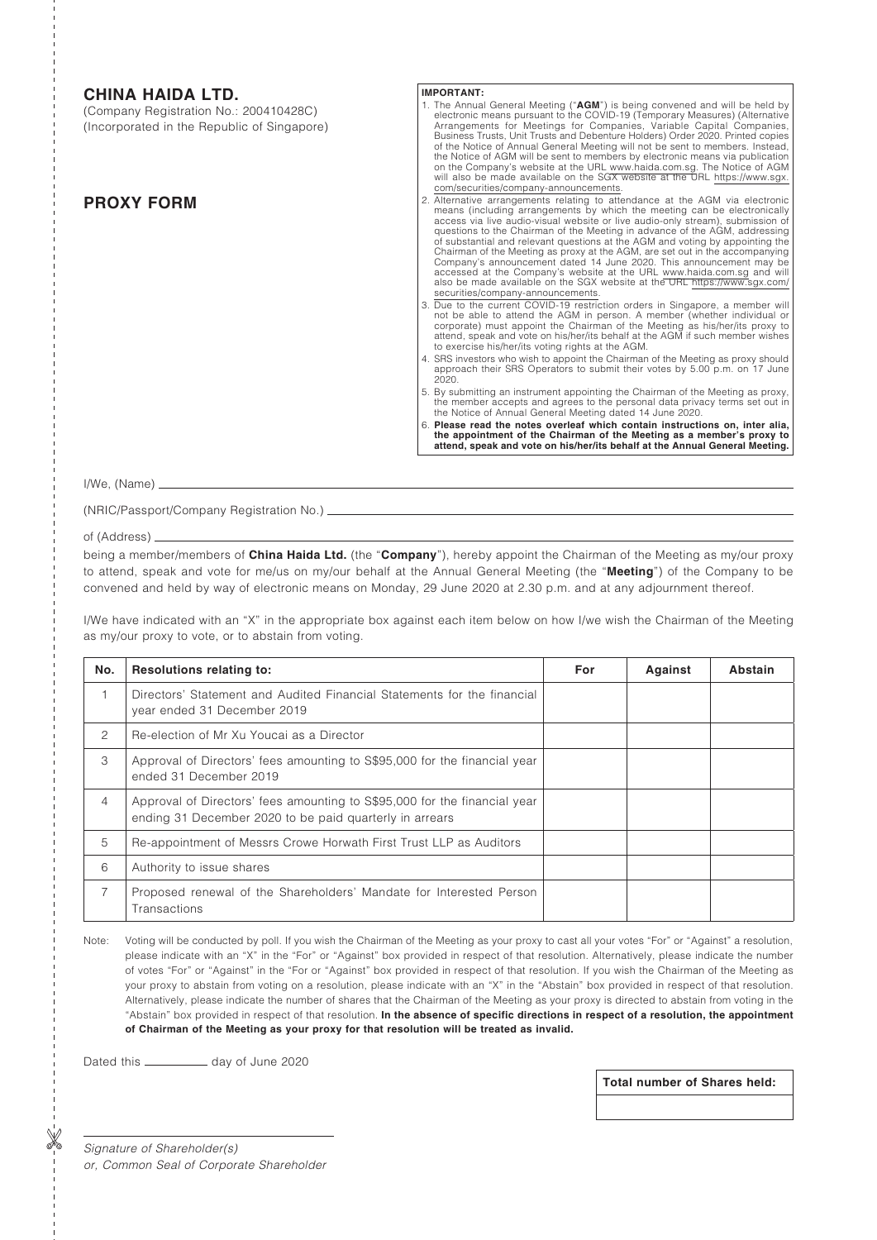# **CHINA HAIDA LTD.**

(Company Registration No.: 200410428C) (Incorporated in the Republic of Singapore)

# **PROXY FORM**

### **IMPORTANT:**

- 1. The Annual General Meeting ("**AGM**") is being convened and will be held by electronic means pursuant to the COVID-19 (Temporary Measures) (Alternative Arrangements for Meetings for Companies, Variable Capital Companies, of the Notice of Annual General Meeting will not be sent to members. Instead,<br>the Notice of AGM will be sent to members by electronic means via publication<br>on the Company's website at the URL www.haida.com.sg. The Notice o com/securities/company-announcements.
- 2. Alternative arrangements relating to attendance at the AGM via electronic means (including arrangements by which the meeting can be electronically access via live audio-visual website or live audio-only stream), submiss of substantial and relevant questions at the AGM and voting by appointing the Chairman of the Meeting as proxy at the AGM, are set out in the accompanying Company's announcement dated 14 June 2020. This announcement may be accessed at the Company's website at the URL www.haida.com.sg and will also be made available on the SGX website at the URL https://www.sgx.com/ securities/company-announcements.
- 3. Due to the current COVID-19 restriction orders in Singapore, a member will not be able to attend the AGM in person. A member (whether individual or production) corporate) must appoint the Chairman of the Meeting as his/ attend, speak and vote on his/her/its behalf at the AGM if such member wishes to exercise his/her/its voting rights at the AGM.
- 4. SRS investors who wish to appoint the Chairman of the Meeting as proxy should approach their SRS Operators to submit their votes by 5.00 p.m. on 17 June 2020.
- 5. By submitting an instrument appointing the Chairman of the Meeting as proxy, the member accepts and agrees to the personal data privacy terms set out in the Notice of Annual General Meeting dated 14 June 2020.
- 6. **Please read the notes overleaf which contain instructions on, inter alia, the appointment of the Chairman of the Meeting as a member's proxy to attend, speak and vote on his/her/its behalf at the Annual General Meeting.**

I/We, (Name)

(NRIC/Passport/Company Registration No.)

### of (Address)

being a member/members of **China Haida Ltd.** (the "**Company**"), hereby appoint the Chairman of the Meeting as my/our proxy to attend, speak and vote for me/us on my/our behalf at the Annual General Meeting (the "**Meeting**") of the Company to be convened and held by way of electronic means on Monday, 29 June 2020 at 2.30 p.m. and at any adjournment thereof.

I/We have indicated with an "X" in the appropriate box against each item below on how I/we wish the Chairman of the Meeting as my/our proxy to vote, or to abstain from voting.

| No.            | <b>Resolutions relating to:</b>                                                                                                      | For | Against | Abstain |
|----------------|--------------------------------------------------------------------------------------------------------------------------------------|-----|---------|---------|
|                | Directors' Statement and Audited Financial Statements for the financial<br>year ended 31 December 2019                               |     |         |         |
| 2              | Re-election of Mr Xu Youcai as a Director                                                                                            |     |         |         |
| 3              | Approval of Directors' fees amounting to S\$95,000 for the financial year<br>ended 31 December 2019                                  |     |         |         |
| $\overline{4}$ | Approval of Directors' fees amounting to S\$95,000 for the financial year<br>ending 31 December 2020 to be paid quarterly in arrears |     |         |         |
| 5              | Re-appointment of Messrs Crowe Horwath First Trust LLP as Auditors                                                                   |     |         |         |
| 6              | Authority to issue shares                                                                                                            |     |         |         |
| $\overline{7}$ | Proposed renewal of the Shareholders' Mandate for Interested Person<br>Transactions                                                  |     |         |         |

Note: Voting will be conducted by poll. If you wish the Chairman of the Meeting as your proxy to cast all your votes "For" or "Against" a resolution, please indicate with an "X" in the "For" or "Against" box provided in respect of that resolution. Alternatively, please indicate the number of votes "For" or "Against" in the "For or "Against" box provided in respect of that resolution. If you wish the Chairman of the Meeting as your proxy to abstain from voting on a resolution, please indicate with an "X" in the "Abstain" box provided in respect of that resolution. Alternatively, please indicate the number of shares that the Chairman of the Meeting as your proxy is directed to abstain from voting in the "Abstain" box provided in respect of that resolution. **In the absence of specific directions in respect of a resolution, the appointment of Chairman of the Meeting as your proxy for that resolution will be treated as invalid.**

Dated this \_\_\_\_\_\_\_\_\_\_\_\_\_ day of June 2020

**Total number of Shares held:**

*Signature of Shareholder(s) or, Common Seal of Corporate Shareholder*